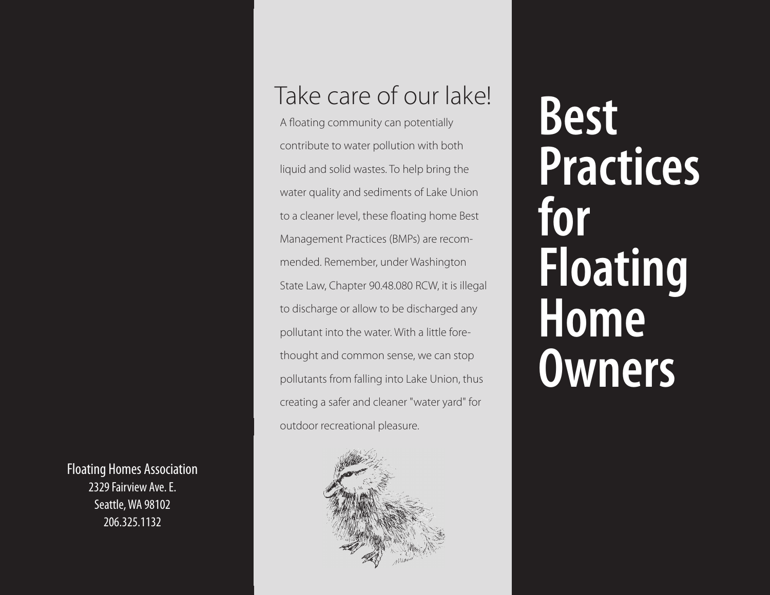Take care of our lake!<br>A floating community can potentially

A floating community can potentially contribute to water pollution with both liquid and solid wastes. To help bring the water quality and sediments of Lake Union to a cleaner level, these floating home Best Management Practices (BMPs) are recommended. Remember, under Washington State Law, Chapter 90.48.080 RCW, it is illegal to discharge or allow to be discharged any pollutant into the water. With a little forethought and common sense, we can stop pollutants from falling into Lake Union, thus creating a safer and cleaner "water yard" for outdoor recreational pleasure.

**Practices for Floating Home Owners**

Floating Homes Association 2329 Fairview Ave. E. Seattle, WA 98102 206.325.1132